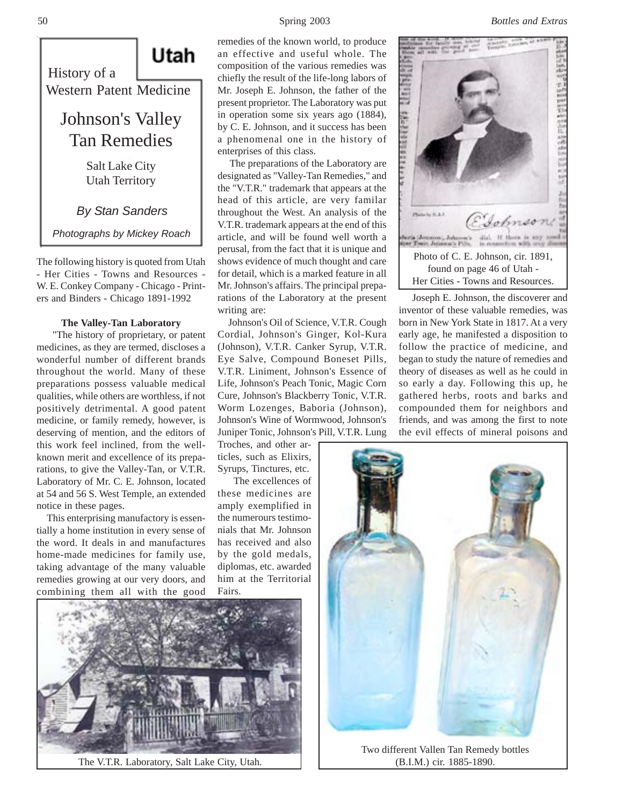#### 50 Spring 2003 *Bottles and Extras*



The following history is quoted from Utah - Her Cities - Towns and Resources - W. E. Conkey Company - Chicago - Printers and Binders - Chicago 1891-1992

# **The Valley-Tan Laboratory**

 "The history of proprietary, or patent medicines, as they are termed, discloses a wonderful number of different brands throughout the world. Many of these preparations possess valuable medical qualities, while others are worthless, if not positively detrimental. A good patent medicine, or family remedy, however, is deserving of mention, and the editors of this work feel inclined, from the wellknown merit and excellence of its preparations, to give the Valley-Tan, or V.T.R. Laboratory of Mr. C. E. Johnson, located at 54 and 56 S. West Temple, an extended notice in these pages.

 This enterprising manufactory is essentially a home institution in every sense of the word. It deals in and manufactures home-made medicines for family use, taking advantage of the many valuable remedies growing at our very doors, and combining them all with the good

remedies of the known world, to produce an effective and useful whole. The composition of the various remedies was chiefly the result of the life-long labors of Mr. Joseph E. Johnson, the father of the present proprietor. The Laboratory was put in operation some six years ago (1884), by C. E. Johnson, and it success has been a phenomenal one in the history of enterprises of this class.

 The preparations of the Laboratory are designated as "Valley-Tan Remedies," and the "V.T.R." trademark that appears at the head of this article, are very familar throughout the West. An analysis of the V.T.R. trademark appears at the end of this article, and will be found well worth a perusal, from the fact that it is unique and shows evidence of much thought and care for detail, which is a marked feature in all Mr. Johnson's affairs. The principal preparations of the Laboratory at the present writing are:

 Johnson's Oil of Science, V.T.R. Cough Cordial, Johnson's Ginger, Kol-Kura (Johnson), V.T.R. Canker Syrup, V.T.R. Eye Salve, Compound Boneset Pills, V.T.R. Liniment, Johnson's Essence of Life, Johnson's Peach Tonic, Magic Corn Cure, Johnson's Blackberry Tonic, V.T.R. Worm Lozenges, Baboria (Johnson), Johnson's Wine of Wormwood, Johnson's Juniper Tonic, Johnson's Pill, V.T.R. Lung

Troches, and other articles, such as Elixirs, Syrups, Tinctures, etc.

 The excellences of these medicines are amply exemplified in the numerours testimonials that Mr. Johnson has received and also by the gold medals, diplomas, etc. awarded him at the Territorial Fairs.



The V.T.R. Laboratory, Salt Lake City, Utah.



 Joseph E. Johnson, the discoverer and inventor of these valuable remedies, was born in New York State in 1817. At a very early age, he manifested a disposition to follow the practice of medicine, and began to study the nature of remedies and theory of diseases as well as he could in so early a day. Following this up, he gathered herbs, roots and barks and compounded them for neighbors and friends, and was among the first to note the evil effects of mineral poisons and



Two different Vallen Tan Remedy bottles (B.I.M.) cir. 1885-1890.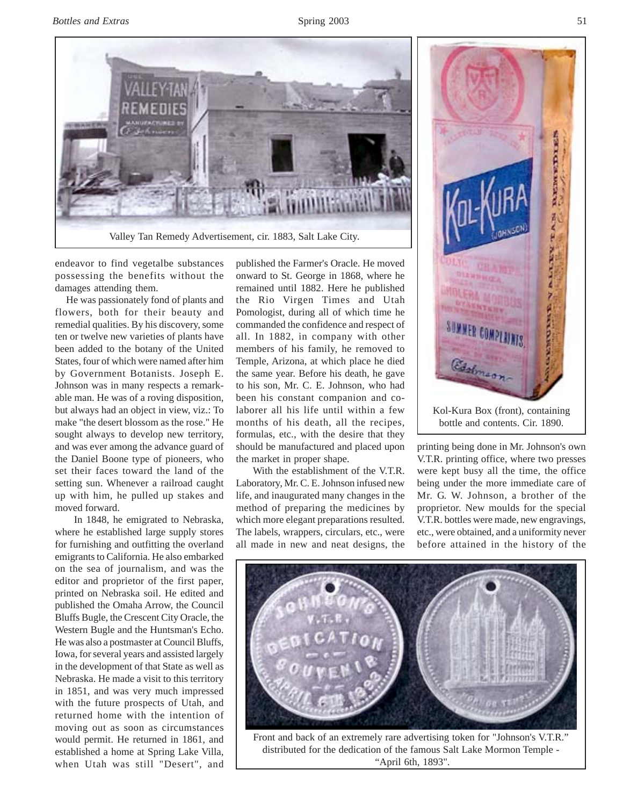

endeavor to find vegetalbe substances possessing the benefits without the damages attending them.

 He was passionately fond of plants and flowers, both for their beauty and remedial qualities. By his discovery, some ten or twelve new varieties of plants have been added to the botany of the United States, four of which were named after him by Government Botanists. Joseph E. Johnson was in many respects a remarkable man. He was of a roving disposition, but always had an object in view, viz.: To make "the desert blossom as the rose." He sought always to develop new territory, and was ever among the advance guard of the Daniel Boone type of pioneers, who set their faces toward the land of the setting sun. Whenever a railroad caught up with him, he pulled up stakes and moved forward.

 In 1848, he emigrated to Nebraska, where he established large supply stores for furnishing and outfitting the overland emigrants to California. He also embarked on the sea of journalism, and was the editor and proprietor of the first paper, printed on Nebraska soil. He edited and published the Omaha Arrow, the Council Bluffs Bugle, the Crescent City Oracle, the Western Bugle and the Huntsman's Echo. He was also a postmaster at Council Bluffs, Iowa, for several years and assisted largely in the development of that State as well as Nebraska. He made a visit to this territory in 1851, and was very much impressed with the future prospects of Utah, and returned home with the intention of moving out as soon as circumstances would permit. He returned in 1861, and established a home at Spring Lake Villa, when Utah was still "Desert", and

published the Farmer's Oracle. He moved onward to St. George in 1868, where he remained until 1882. Here he published the Rio Virgen Times and Utah Pomologist, during all of which time he commanded the confidence and respect of all. In 1882, in company with other members of his family, he removed to Temple, Arizona, at which place he died the same year. Before his death, he gave to his son, Mr. C. E. Johnson, who had been his constant companion and colaborer all his life until within a few months of his death, all the recipes, formulas, etc., with the desire that they should be manufactured and placed upon the market in proper shape.

 With the establishment of the V.T.R. Laboratory, Mr. C. E. Johnson infused new life, and inaugurated many changes in the method of preparing the medicines by which more elegant preparations resulted. The labels, wrappers, circulars, etc., were all made in new and neat designs, the



bottle and contents. Cir. 1890.

printing being done in Mr. Johnson's own V.T.R. printing office, where two presses were kept busy all the time, the office being under the more immediate care of Mr. G. W. Johnson, a brother of the proprietor. New moulds for the special V.T.R. bottles were made, new engravings, etc., were obtained, and a uniformity never before attained in the history of the



Front and back of an extremely rare advertising token for "Johnson's V.T.R." distributed for the dedication of the famous Salt Lake Mormon Temple - "April 6th, 1893".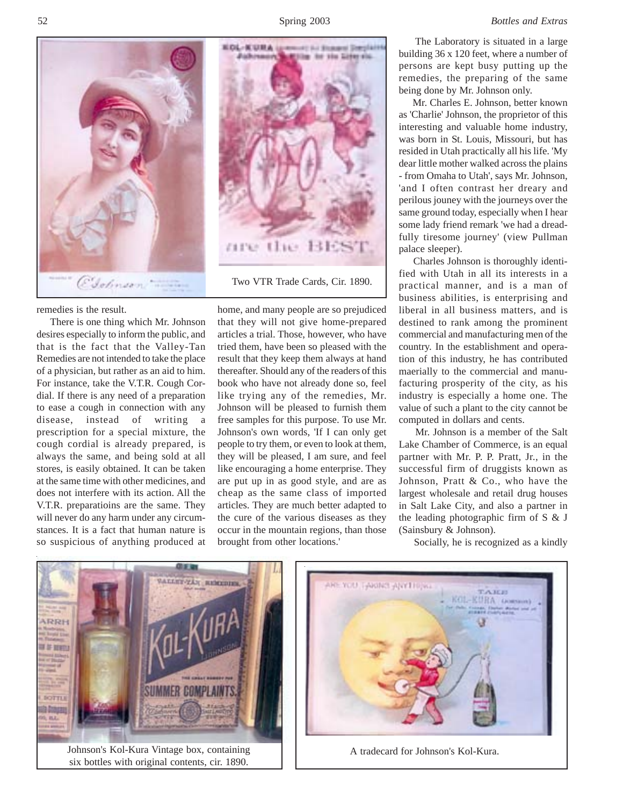

remedies is the result.

 There is one thing which Mr. Johnson desires especially to inform the public, and that is the fact that the Valley-Tan Remedies are not intended to take the place of a physician, but rather as an aid to him. For instance, take the V.T.R. Cough Cordial. If there is any need of a preparation to ease a cough in connection with any disease, instead of writing a prescription for a special mixture, the cough cordial is already prepared, is always the same, and being sold at all stores, is easily obtained. It can be taken at the same time with other medicines, and does not interfere with its action. All the V.T.R. preparatioins are the same. They will never do any harm under any circumstances. It is a fact that human nature is so suspicious of anything produced at



Two VTR Trade Cards, Cir. 1890.

home, and many people are so prejudiced that they will not give home-prepared articles a trial. Those, however, who have tried them, have been so pleased with the result that they keep them always at hand thereafter. Should any of the readers of this book who have not already done so, feel like trying any of the remedies, Mr. Johnson will be pleased to furnish them free samples for this purpose. To use Mr. Johnson's own words, 'If I can only get people to try them, or even to look at them, they will be pleased, I am sure, and feel like encouraging a home enterprise. They are put up in as good style, and are as cheap as the same class of imported articles. They are much better adapted to the cure of the various diseases as they occur in the mountain regions, than those brought from other locations.'

 The Laboratory is situated in a large building 36 x 120 feet, where a number of persons are kept busy putting up the remedies, the preparing of the same being done by Mr. Johnson only.

 Mr. Charles E. Johnson, better known as 'Charlie' Johnson, the proprietor of this interesting and valuable home industry, was born in St. Louis, Missouri, but has resided in Utah practically all his life. 'My dear little mother walked across the plains - from Omaha to Utah', says Mr. Johnson, 'and I often contrast her dreary and perilous jouney with the journeys over the same ground today, especially when I hear some lady friend remark 'we had a dreadfully tiresome journey' (view Pullman palace sleeper).

 Charles Johnson is thoroughly identified with Utah in all its interests in a practical manner, and is a man of business abilities, is enterprising and liberal in all business matters, and is destined to rank among the prominent commercial and manufacturing men of the country. In the establishment and operation of this industry, he has contributed maerially to the commercial and manufacturing prosperity of the city, as his industry is especially a home one. The value of such a plant to the city cannot be computed in dollars and cents.

 Mr. Johnson is a member of the Salt Lake Chamber of Commerce, is an equal partner with Mr. P. P. Pratt, Jr., in the successful firm of druggists known as Johnson, Pratt & Co., who have the largest wholesale and retail drug houses in Salt Lake City, and also a partner in the leading photographic firm of S & J (Sainsbury & Johnson).

Socially, he is recognized as a kindly



six bottles with original contents, cir. 1890.



A tradecard for Johnson's Kol-Kura.